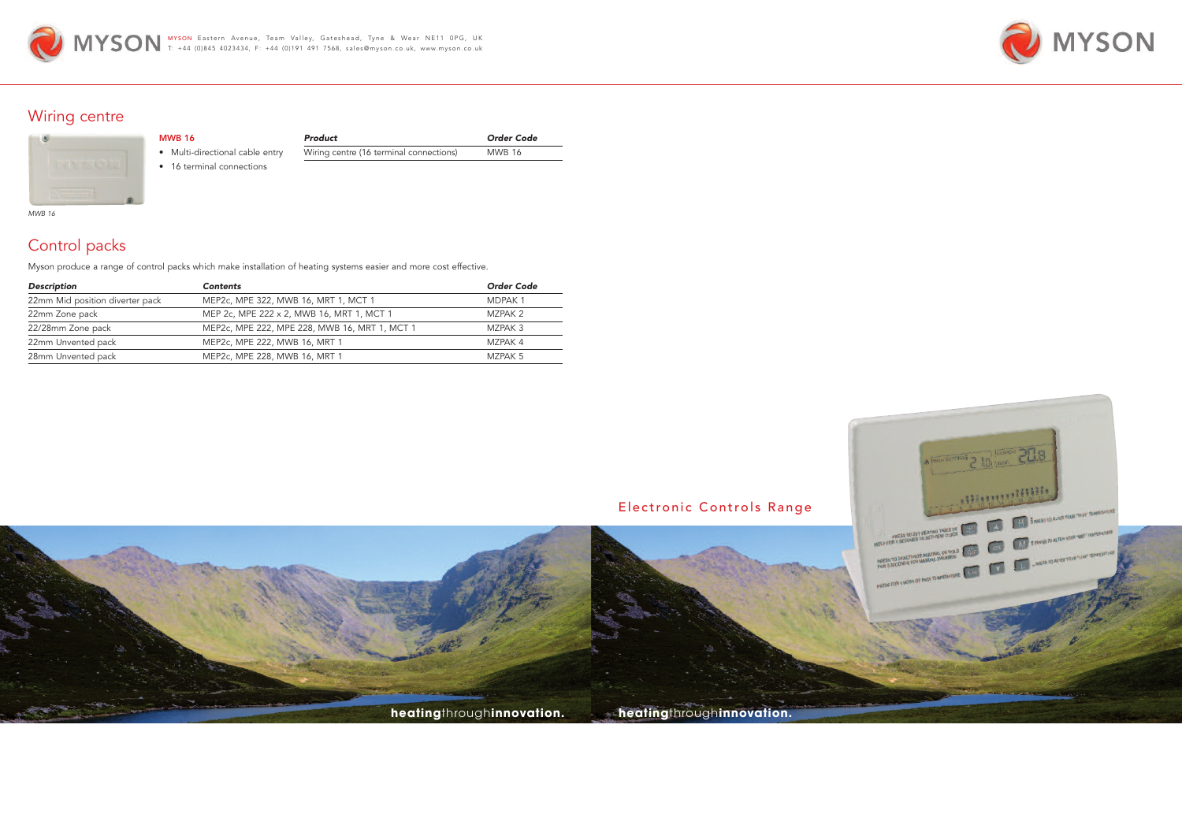





## Wiring centre

| <b>AND PAGE REPORT</b> |  |
|------------------------|--|

# Control packs

Myson produce a range of control packs which make installation of heating systems easier and more cost effective.

*Product Order Code* Wiring centre (16 terminal connections) MWB 16

| <b>Description</b>              | <b>Contents</b>                               | <b>Order Code</b> |
|---------------------------------|-----------------------------------------------|-------------------|
| 22mm Mid position diverter pack | MEP2c, MPE 322, MWB 16, MRT 1, MCT 1          | <b>MDPAK1</b>     |
| 22mm Zone pack                  | MEP 2c, MPE 222 x 2, MWB 16, MRT 1, MCT 1     | MZPAK 2           |
| 22/28mm Zone pack               | MEP2c, MPE 222, MPE 228, MWB 16, MRT 1, MCT 1 | MZPAK 3           |
| 22mm Unvented pack              | MEP2c, MPE 222, MWB 16, MRT 1                 | M7PAK 4           |
| 28mm Unvented pack              | MEP2c, MPE 228, MWB 16, MRT 1                 | MZPAK 5           |

MWB 16

• Multi-directional cable entry • 16 terminal connections

*MWB 16*